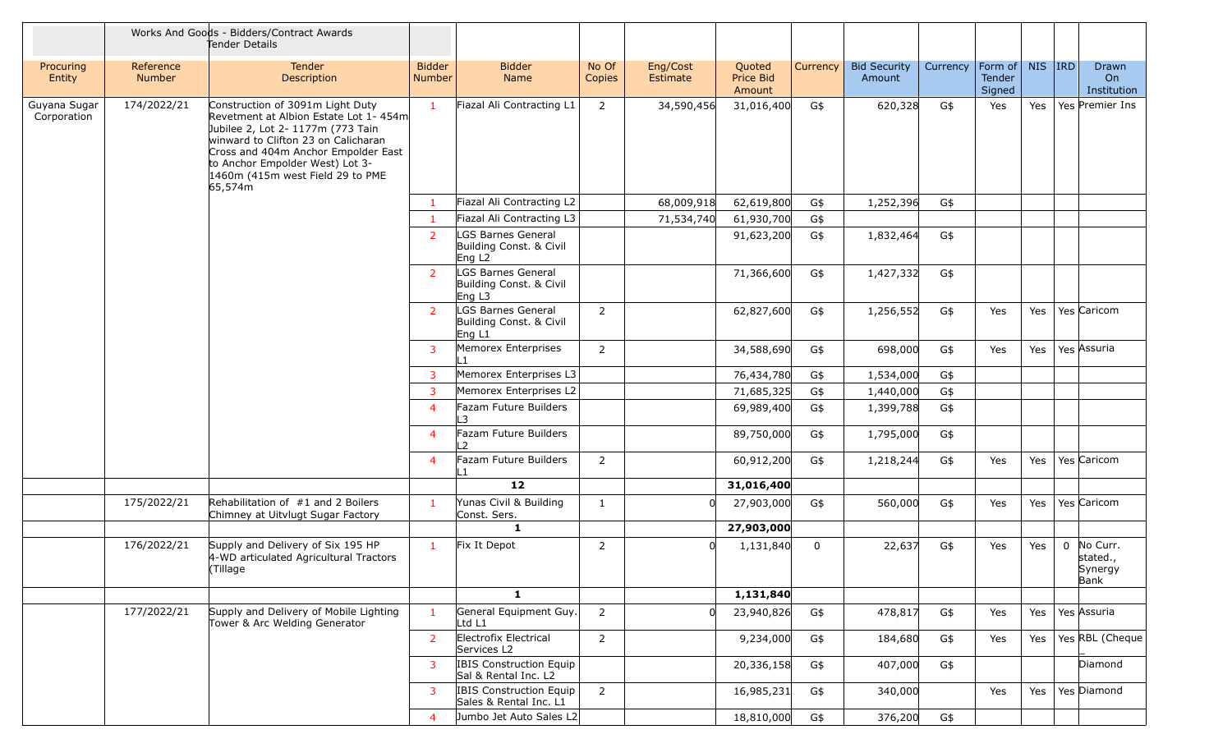|                             |                     | Works And Goods - Bidders/Contract Awards<br>Tender Details                                                                                                                                                                                                                    |                                |                                                                     |                 |                      |                               |              |                               |          |                             |         |             |                                         |
|-----------------------------|---------------------|--------------------------------------------------------------------------------------------------------------------------------------------------------------------------------------------------------------------------------------------------------------------------------|--------------------------------|---------------------------------------------------------------------|-----------------|----------------------|-------------------------------|--------------|-------------------------------|----------|-----------------------------|---------|-------------|-----------------------------------------|
| Procuring<br>Entity         | Reference<br>Number | <b>Tender</b><br>Description                                                                                                                                                                                                                                                   | <b>Bidder</b><br><b>Number</b> | <b>Bidder</b><br>Name                                               | No Of<br>Copies | Eng/Cost<br>Estimate | Quoted<br>Price Bid<br>Amount | Currency     | <b>Bid Security</b><br>Amount | Currency | Form of<br>Tender<br>Signed | NIS IRD |             | Drawn<br>On<br>Institution              |
| Guyana Sugar<br>Corporation | 174/2022/21         | Construction of 3091m Light Duty<br>Revetment at Albion Estate Lot 1-454m<br>Jubilee 2, Lot 2- 1177m (773 Tain<br>winward to Clifton 23 on Calicharan<br>Cross and 404m Anchor Empolder East<br>to Anchor Empolder West) Lot 3-<br>1460m (415m west Field 29 to PME<br>65,574m | $\mathbf{1}$                   | Fiazal Ali Contracting L1                                           | 2               | 34,590,456           | 31,016,400                    | G\$          | 620,328                       | G\$      | Yes                         | Yes     |             | Yes Premier Ins                         |
|                             |                     |                                                                                                                                                                                                                                                                                | $\mathbf{1}$                   | Fiazal Ali Contracting L2                                           |                 | 68,009,918           | 62,619,800                    | G\$          | 1,252,396                     | G\$      |                             |         |             |                                         |
|                             |                     |                                                                                                                                                                                                                                                                                | $\mathbf{1}$                   | Fiazal Ali Contracting L3                                           |                 | 71,534,740           | 61,930,700                    | G\$          |                               |          |                             |         |             |                                         |
|                             |                     |                                                                                                                                                                                                                                                                                | <sup>2</sup>                   | LGS Barnes General<br>Building Const. & Civil<br>Eng L <sub>2</sub> |                 |                      | 91,623,200                    | G\$          | 1,832,464                     | G\$      |                             |         |             |                                         |
|                             |                     |                                                                                                                                                                                                                                                                                | <sup>2</sup>                   | LGS Barnes General<br>Building Const. & Civil<br>Eng L3             |                 |                      | 71,366,600                    | G\$          | 1,427,332                     | G\$      |                             |         |             |                                         |
|                             |                     |                                                                                                                                                                                                                                                                                | $\overline{2}$                 | LGS Barnes General<br>Building Const. & Civil<br>Eng L1             | $\overline{2}$  |                      | 62,827,600                    | G\$          | 1,256,552                     | G\$      | Yes                         | Yes     |             | Yes Caricom                             |
|                             |                     |                                                                                                                                                                                                                                                                                | 3                              | Memorex Enterprises<br>ll 1                                         | 2               |                      | 34,588,690                    | G\$          | 698,000                       | G\$      | Yes                         | Yes     |             | Yes Assuria                             |
|                             |                     |                                                                                                                                                                                                                                                                                | $\overline{3}$                 | Memorex Enterprises L3                                              |                 |                      | 76,434,780                    | G\$          | 1,534,000                     | G\$      |                             |         |             |                                         |
|                             |                     |                                                                                                                                                                                                                                                                                | $\overline{3}$                 | Memorex Enterprises L2                                              |                 |                      | 71,685,325                    | G\$          | 1,440,000                     | G\$      |                             |         |             |                                         |
|                             |                     |                                                                                                                                                                                                                                                                                | $\overline{4}$                 | Fazam Future Builders<br>L3                                         |                 |                      | 69,989,400                    | G\$          | 1,399,788                     | G\$      |                             |         |             |                                         |
|                             |                     |                                                                                                                                                                                                                                                                                | $\overline{4}$                 | Fazam Future Builders<br>L <sub>2</sub>                             |                 |                      | 89,750,000                    | G\$          | 1,795,000                     | G\$      |                             |         |             |                                         |
|                             |                     |                                                                                                                                                                                                                                                                                | 4                              | Fazam Future Builders<br>L1                                         | $\overline{2}$  |                      | 60,912,200                    | G\$          | 1,218,244                     | G\$      | Yes                         | Yes     |             | Yes Caricom                             |
|                             |                     |                                                                                                                                                                                                                                                                                |                                | 12                                                                  |                 |                      | 31,016,400                    |              |                               |          |                             |         |             |                                         |
|                             | 175/2022/21         | Rehabilitation of #1 and 2 Boilers<br>Chimney at Uitvlugt Sugar Factory                                                                                                                                                                                                        | $\mathbf{1}$                   | Yunas Civil & Building<br>Const. Sers.                              | $\mathbf{1}$    |                      | 27,903,000                    | G\$          | 560,000                       | G\$      | Yes                         | Yes     |             | Yes Caricom                             |
|                             |                     |                                                                                                                                                                                                                                                                                |                                | $\mathbf{1}$                                                        |                 |                      | 27,903,000                    |              |                               |          |                             |         |             |                                         |
|                             | 176/2022/21         | Supply and Delivery of Six 195 HP<br>4-WD articulated Agricultural Tractors<br>(Tillage                                                                                                                                                                                        | $\mathbf{1}$                   | Fix It Depot                                                        | $\overline{2}$  |                      | 1,131,840                     | $\mathbf{0}$ | 22,637                        | G\$      | Yes                         | Yes     | $\mathbf 0$ | No Curr.<br>stated.,<br>Synergy<br>Bank |
|                             |                     |                                                                                                                                                                                                                                                                                |                                | $\mathbf{1}$                                                        |                 |                      | 1,131,840                     |              |                               |          |                             |         |             |                                         |
|                             | 177/2022/21         | Supply and Delivery of Mobile Lighting<br>Tower & Arc Welding Generator                                                                                                                                                                                                        | $\mathbf{1}$                   | General Equipment Guy.<br>Ltd L1                                    | $\overline{2}$  |                      | 23,940,826                    | G\$          | 478,817                       | G\$      | Yes                         | Yes     |             | Yes Assuria                             |
|                             |                     |                                                                                                                                                                                                                                                                                | $\overline{2}$                 | Electrofix Electrical<br>Services L2                                | $\overline{2}$  |                      | 9,234,000                     | G\$          | 184,680                       | G\$      | Yes                         | Yes     |             | Yes RBL (Cheque                         |
|                             |                     |                                                                                                                                                                                                                                                                                | 3                              | IBIS Construction Equip<br>Sal & Rental Inc. L2                     |                 |                      | 20,336,158                    | G\$          | 407,000                       | G\$      |                             |         |             | Diamond                                 |
|                             |                     |                                                                                                                                                                                                                                                                                | 3                              | <b>IBIS Construction Equip</b><br>Sales & Rental Inc. L1            | $\overline{2}$  |                      | 16,985,231                    | G\$          | 340,000                       |          | Yes                         | Yes     |             | Yes Diamond                             |
|                             |                     |                                                                                                                                                                                                                                                                                | 4                              | Jumbo Jet Auto Sales L2                                             |                 |                      | 18,810,000                    | G\$          | 376,200                       | G\$      |                             |         |             |                                         |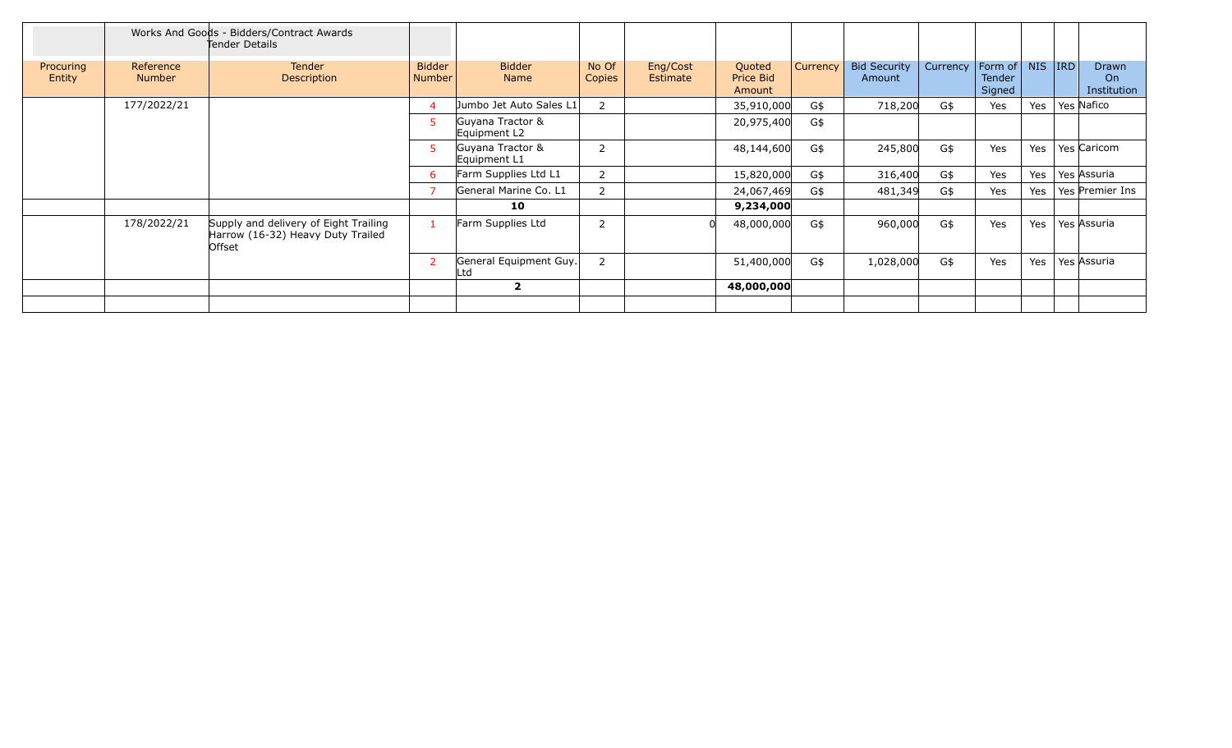|                     |                            | Works And Goods - Bidders/Contract Awards<br>Tender Details                          |                                |                                  |                 |                             |                               |          |                               |          |                             |            |            |                                   |
|---------------------|----------------------------|--------------------------------------------------------------------------------------|--------------------------------|----------------------------------|-----------------|-----------------------------|-------------------------------|----------|-------------------------------|----------|-----------------------------|------------|------------|-----------------------------------|
| Procuring<br>Entity | Reference<br><b>Number</b> | <b>Tender</b><br>Description                                                         | <b>Bidder</b><br><b>Number</b> | <b>Bidder</b><br>Name            | No Of<br>Copies | Eng/Cost<br><b>Estimate</b> | Quoted<br>Price Bid<br>Amount | Currency | <b>Bid Security</b><br>Amount | Currency | Form of<br>Tender<br>Signed | <b>NIS</b> | <b>IRD</b> | <b>Drawn</b><br>On<br>Institution |
|                     | 177/2022/21                |                                                                                      | 4                              | Jumbo Jet Auto Sales L1          | 2               |                             | 35,910,000                    | G\$      | 718,200                       | G\$      | Yes                         | Yes        |            | Yes Nafico                        |
|                     |                            |                                                                                      | 5                              | Guyana Tractor &<br>Equipment L2 |                 |                             | 20,975,400                    | G\$      |                               |          |                             |            |            |                                   |
|                     |                            |                                                                                      | 5                              | Guyana Tractor &<br>Equipment L1 | 2               |                             | 48,144,600                    | G\$      | 245,800                       | G\$      | Yes                         | Yes        |            | Yes Caricom                       |
|                     |                            |                                                                                      | -6                             | Farm Supplies Ltd L1             | 2               |                             | 15,820,000                    | G\$      | 316,400                       | G\$      | Yes                         | Yes        |            | Yes Assuria                       |
|                     |                            |                                                                                      |                                | General Marine Co. L1            | 2               |                             | 24,067,469                    | G\$      | 481,349                       | G\$      | Yes                         | Yes        |            | Yes Premier Ins                   |
|                     |                            |                                                                                      |                                | 10                               |                 |                             | 9,234,000                     |          |                               |          |                             |            |            |                                   |
|                     | 178/2022/21                | Supply and delivery of Eight Trailing<br>Harrow (16-32) Heavy Duty Trailed<br>Offset | -1                             | Farm Supplies Ltd                | 2               |                             | 48,000,000                    | G\$      | 960,000                       | G\$      | Yes                         | Yes        |            | Yes Assuria                       |
|                     |                            |                                                                                      | 2                              | General Equipment Guy.<br>.td    | 2               |                             | 51,400,000                    | G\$      | 1,028,000                     | G\$      | Yes                         | Yes        |            | Yes Assuria                       |
|                     |                            |                                                                                      |                                | $\mathbf{2}$                     |                 |                             | 48,000,000                    |          |                               |          |                             |            |            |                                   |
|                     |                            |                                                                                      |                                |                                  |                 |                             |                               |          |                               |          |                             |            |            |                                   |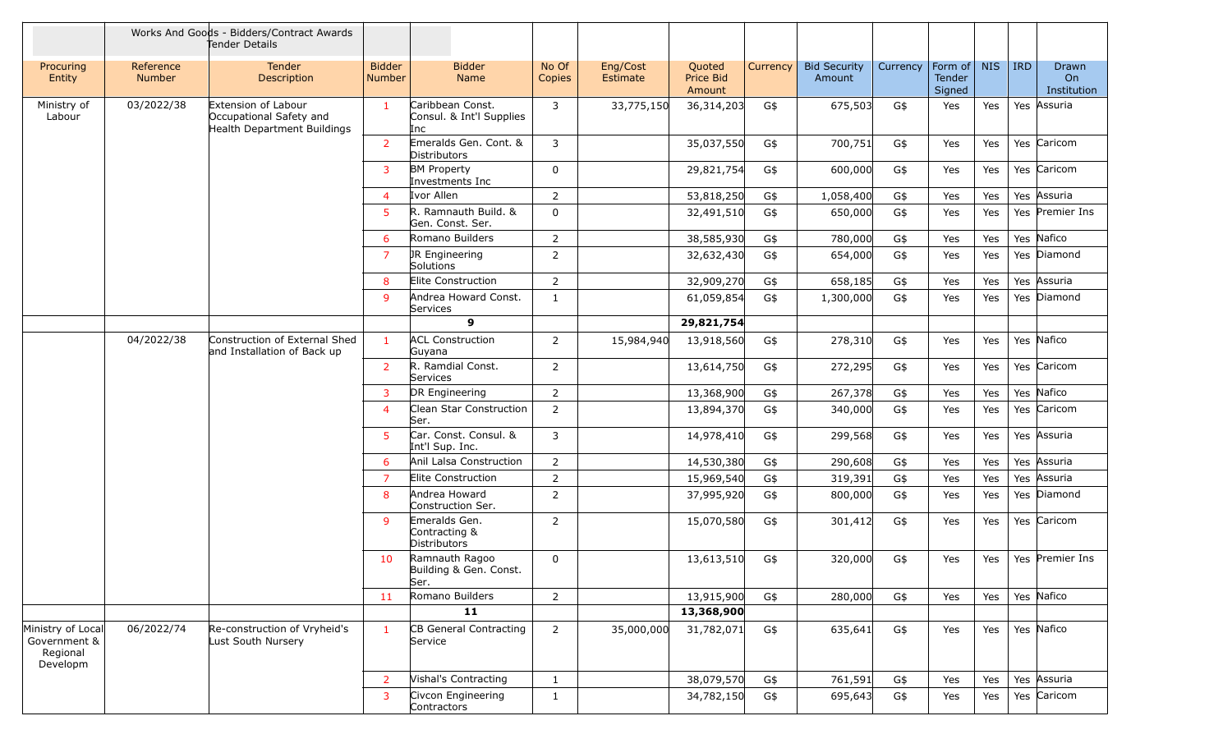|                                                           |                            | Works And Goods - Bidders/Contract Awards<br>Tender Details                   |                         |                                                     |                 |                      |                               |          |                               |          |                             |            |         |                            |
|-----------------------------------------------------------|----------------------------|-------------------------------------------------------------------------------|-------------------------|-----------------------------------------------------|-----------------|----------------------|-------------------------------|----------|-------------------------------|----------|-----------------------------|------------|---------|----------------------------|
| Procuring<br>Entity                                       | Reference<br><b>Number</b> | Tender<br><b>Description</b>                                                  | <b>Bidder</b><br>Number | <b>Bidder</b><br>Name                               | No Of<br>Copies | Eng/Cost<br>Estimate | Quoted<br>Price Bid<br>Amount | Currency | <b>Bid Security</b><br>Amount | Currency | Form of<br>Tender<br>Signed | <b>NIS</b> | $ $ IRD | Drawn<br>On<br>Institution |
| Ministry of<br>Labour                                     | 03/2022/38                 | Extension of Labour<br>Occupational Safety and<br>Health Department Buildings | $\mathbf{1}$            | Caribbean Const.<br>Consul. & Int'l Supplies<br>Inc | 3               | 33,775,150           | 36,314,203                    | G\$      | 675,503                       | G\$      | Yes                         | Yes        |         | Yes Assuria                |
|                                                           |                            |                                                                               | $\overline{2}$          | Emeralds Gen. Cont. &<br>Distributors               | 3               |                      | 35,037,550                    | G\$      | 700,751                       | G\$      | Yes                         | Yes        |         | Yes Caricom                |
|                                                           |                            |                                                                               | 3                       | <b>BM Property</b><br>Investments Inc               | 0               |                      | 29,821,754                    | G\$      | 600,000                       | G\$      | Yes                         | Yes        |         | Yes Caricom                |
|                                                           |                            |                                                                               | $\overline{4}$          | Ivor Allen                                          | 2               |                      | 53,818,250                    | G\$      | 1,058,400                     | G\$      | Yes                         | Yes        |         | Yes Assuria                |
|                                                           |                            |                                                                               | 5.                      | R. Ramnauth Build. &<br>Gen. Const. Ser.            | $\mathbf 0$     |                      | 32,491,510                    | G\$      | 650,000                       | G\$      | Yes                         | Yes        |         | Yes Premier Ins            |
|                                                           |                            |                                                                               | 6                       | Romano Builders                                     | 2               |                      | 38,585,930                    | G\$      | 780,000                       | G\$      | Yes                         | Yes        |         | Yes Nafico                 |
|                                                           |                            |                                                                               | 7                       | JR Engineering<br>Solutions                         | 2               |                      | 32,632,430                    | G\$      | 654,000                       | G\$      | Yes                         | Yes        |         | Yes Diamond                |
|                                                           |                            |                                                                               | 8                       | Elite Construction                                  | $\overline{2}$  |                      | 32,909,270                    | G\$      | 658,185                       | G\$      | Yes                         | Yes        |         | Yes Assuria                |
|                                                           |                            |                                                                               | 9                       | Andrea Howard Const.<br>Services                    | $\mathbf{1}$    |                      | 61,059,854                    | G\$      | 1,300,000                     | G\$      | Yes                         | Yes        |         | Yes Diamond                |
|                                                           |                            |                                                                               |                         | 9                                                   |                 |                      | 29,821,754                    |          |                               |          |                             |            |         |                            |
|                                                           | 04/2022/38                 | Construction of External Shed<br>and Installation of Back up                  | $\mathbf{1}$            | <b>ACL Construction</b><br>Guyana                   | 2               | 15,984,940           | 13,918,560                    | G\$      | 278,310                       | G\$      | Yes                         | Yes        |         | Yes Nafico                 |
|                                                           |                            |                                                                               | $\overline{2}$          | R. Ramdial Const.<br>Services                       | 2               |                      | 13,614,750                    | G\$      | 272,295                       | G\$      | Yes                         | Yes        |         | Yes Caricom                |
|                                                           |                            |                                                                               | $\mathbf{3}$            | DR Engineering                                      | 2               |                      | 13,368,900                    | G\$      | 267,378                       | G\$      | Yes                         | Yes        |         | Yes Nafico                 |
|                                                           |                            |                                                                               | 4                       | Clean Star Construction<br>Ser.                     | $\overline{2}$  |                      | 13,894,370                    | G\$      | 340,000                       | G\$      | Yes                         | Yes        |         | Yes Caricom                |
|                                                           |                            |                                                                               | 5                       | Car. Const. Consul. &<br>Int'l Sup. Inc.            | 3               |                      | 14,978,410                    | G\$      | 299,568                       | G\$      | Yes                         | Yes        |         | Yes Assuria                |
|                                                           |                            |                                                                               | 6                       | Anil Lalsa Construction                             | $\overline{2}$  |                      | 14,530,380                    | G\$      | 290,608                       | G\$      | Yes                         | Yes        |         | Yes Assuria                |
|                                                           |                            |                                                                               | $\overline{7}$          | Elite Construction                                  | $\overline{2}$  |                      | 15,969,540                    | G\$      | 319,391                       | G\$      | Yes                         | Yes        |         | Yes Assuria                |
|                                                           |                            |                                                                               | 8                       | Andrea Howard<br>Construction Ser.                  | 2               |                      | 37,995,920                    | G\$      | 800,000                       | G\$      | Yes                         | Yes        |         | Yes Diamond                |
|                                                           |                            |                                                                               | 9                       | Emeralds Gen.<br>Contracting &<br>Distributors      | 2               |                      | 15,070,580                    | G\$      | 301,412                       | G\$      | Yes                         | Yes        |         | Yes Caricom                |
|                                                           |                            |                                                                               | 10                      | Ramnauth Ragoo<br>Building & Gen. Const.<br>lSer.   | $\mathbf 0$     |                      | 13,613,510                    | G\$      | 320,000                       | G\$      | Yes                         | Yes        |         | Yes Premier Ins            |
|                                                           |                            |                                                                               | 11                      | Romano Builders                                     | $\overline{2}$  |                      | 13,915,900                    | G\$      | 280,000                       | G\$      | Yes                         | Yes        |         | Yes Nafico                 |
|                                                           |                            |                                                                               |                         | 11                                                  |                 |                      | 13,368,900                    |          |                               |          |                             |            |         |                            |
| Ministry of Local<br>Government &<br>Regional<br>Developm | 06/2022/74                 | Re-construction of Vryheid's<br>Lust South Nursery                            | $\mathbf{1}$            | CB General Contracting<br>Service                   | $\overline{2}$  | 35,000,000           | 31,782,071                    | G\$      | 635,641                       | G\$      | Yes                         | Yes        |         | Yes Nafico                 |
|                                                           |                            |                                                                               | $\overline{2}$          | Vishal's Contracting                                | 1               |                      | 38,079,570                    | G\$      | 761,591                       | G\$      | Yes                         | Yes        |         | Yes Assuria                |
|                                                           |                            |                                                                               | 3                       | Civcon Engineering<br>Contractors                   | $\mathbf{1}$    |                      | 34,782,150                    | G\$      | 695,643                       | G\$      | Yes                         | Yes        |         | Yes Caricom                |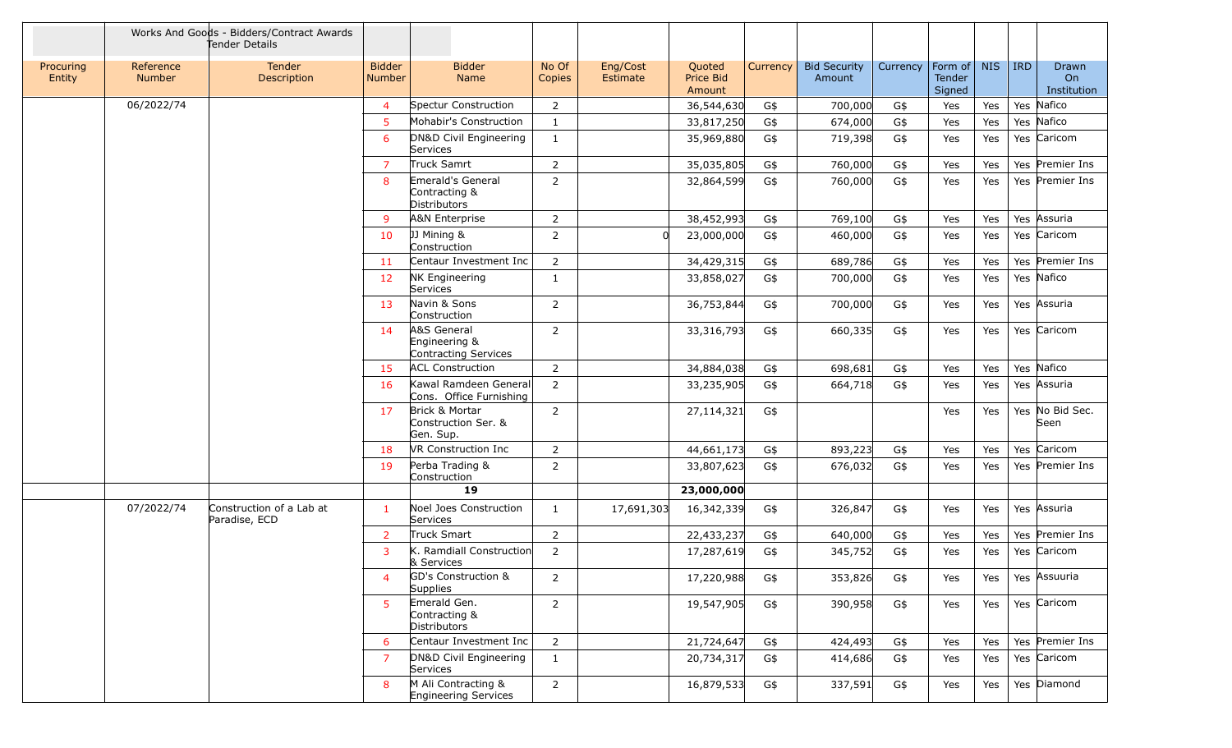|                     |                            | Works And Goods - Bidders/Contract Awards<br>Tender Details |                                |                                                             |                 |                      |                               |          |                               |          |                             |            |     |                            |
|---------------------|----------------------------|-------------------------------------------------------------|--------------------------------|-------------------------------------------------------------|-----------------|----------------------|-------------------------------|----------|-------------------------------|----------|-----------------------------|------------|-----|----------------------------|
| Procuring<br>Entity | Reference<br><b>Number</b> | Tender<br>Description                                       | <b>Bidder</b><br><b>Number</b> | <b>Bidder</b><br>Name                                       | No Of<br>Copies | Eng/Cost<br>Estimate | Quoted<br>Price Bid<br>Amount | Currency | <b>Bid Security</b><br>Amount | Currency | Form of<br>Tender<br>Signed | <b>NIS</b> | IRD | Drawn<br>On<br>Institution |
|                     | 06/2022/74                 |                                                             | $\overline{4}$                 | Spectur Construction                                        | 2               |                      | 36,544,630                    | G\$      | 700,000                       | G\$      | Yes                         | Yes        |     | Yes Nafico                 |
|                     |                            |                                                             | 5                              | Mohabir's Construction                                      | 1               |                      | 33,817,250                    | G\$      | 674,000                       | G\$      | Yes                         | Yes        |     | Yes Nafico                 |
|                     |                            |                                                             | 6                              | DN&D Civil Engineering<br>Services                          | 1               |                      | 35,969,880                    | G\$      | 719,398                       | G\$      | Yes                         | Yes        |     | Yes Caricom                |
|                     |                            |                                                             | $\overline{7}$                 | Truck Samrt                                                 | $\overline{2}$  |                      | 35,035,805                    | G\$      | 760,000                       | G\$      | Yes                         | Yes        |     | Yes Premier Ins            |
|                     |                            |                                                             | 8                              | Emerald's General<br>Contracting &<br>Distributors          | 2               |                      | 32,864,599                    | G\$      | 760,000                       | G\$      | Yes                         | Yes        |     | Yes Premier Ins            |
|                     |                            |                                                             | 9                              | A&N Enterprise                                              | $\overline{2}$  |                      | 38,452,993                    | G\$      | 769,100                       | G\$      | Yes                         | Yes        |     | Yes Assuria                |
|                     |                            |                                                             | 10                             | JJ Mining &<br>Construction                                 | 2               | <sup>n</sup>         | 23,000,000                    | G\$      | 460,000                       | G\$      | Yes                         | Yes        |     | Yes Caricom                |
|                     |                            |                                                             | 11                             | Centaur Investment Inc                                      | 2               |                      | 34,429,315                    | G\$      | 689,786                       | G\$      | Yes                         | Yes        |     | Yes Premier Ins            |
|                     |                            |                                                             | 12                             | <b>NK Engineering</b><br>Services                           | $\mathbf{1}$    |                      | 33,858,027                    | G\$      | 700,000                       | G\$      | Yes                         | Yes        |     | Yes Nafico                 |
|                     |                            |                                                             | 13                             | Navin & Sons<br>Construction                                | $\overline{2}$  |                      | 36,753,844                    | G\$      | 700,000                       | G\$      | Yes                         | Yes        |     | Yes Assuria                |
|                     |                            |                                                             | 14                             | A&S General<br>Engineering &<br><b>Contracting Services</b> | 2               |                      | 33,316,793                    | G\$      | 660,335                       | G\$      | Yes                         | Yes        |     | Yes Caricom                |
|                     |                            |                                                             | 15                             | <b>ACL Construction</b>                                     | 2               |                      | 34,884,038                    | G\$      | 698,681                       | G\$      | Yes                         | Yes        |     | Yes Nafico                 |
|                     |                            |                                                             | 16                             | Kawal Ramdeen General<br>Cons. Office Furnishing            | $\overline{2}$  |                      | 33,235,905                    | G\$      | 664,718                       | G\$      | Yes                         | Yes        |     | Yes Assuria                |
|                     |                            |                                                             | 17                             | Brick & Mortar<br>Construction Ser. &<br>Gen. Sup.          | 2               |                      | 27,114,321                    | G\$      |                               |          | Yes                         | Yes        |     | Yes No Bid Sec.<br>Seen    |
|                     |                            |                                                             | 18                             | VR Construction Inc                                         | $\overline{2}$  |                      | 44,661,173                    | G\$      | 893,223                       | G\$      | Yes                         | Yes        |     | Yes Caricom                |
|                     |                            |                                                             | 19                             | Perba Trading &<br>Construction                             | $\overline{2}$  |                      | 33,807,623                    | G\$      | 676,032                       | G\$      | Yes                         | Yes        |     | Yes Premier Ins            |
|                     |                            |                                                             |                                | 19                                                          |                 |                      | 23,000,000                    |          |                               |          |                             |            |     |                            |
|                     | 07/2022/74                 | Construction of a Lab at<br>Paradise, ECD                   | $\mathbf{1}$                   | Noel Joes Construction<br>Services                          | 1               | 17,691,303           | 16,342,339                    | G\$      | 326,847                       | G\$      | Yes                         | Yes        |     | Yes Assuria                |
|                     |                            |                                                             | $\overline{2}$                 | Truck Smart                                                 | $\overline{2}$  |                      | 22,433,237                    | G\$      | 640,000                       | G\$      | Yes                         | Yes        |     | Yes Premier Ins            |
|                     |                            |                                                             | 3                              | K. Ramdiall Construction<br>& Services                      | $\overline{2}$  |                      | 17,287,619                    | G\$      | 345,752                       | G\$      | Yes                         | Yes        |     | Yes Caricom                |
|                     |                            |                                                             | $\overline{4}$                 | <b>GD's Construction &amp;</b><br>Supplies                  | 2               |                      | 17,220,988                    | G\$      | 353,826                       | G\$      | Yes                         | Yes        |     | Yes Assuuria               |
|                     |                            |                                                             | 5                              | Emerald Gen.<br>Contracting &<br>Distributors               | $\overline{2}$  |                      | 19,547,905                    | G\$      | 390,958                       | G\$      | Yes                         | Yes        |     | Yes Caricom                |
|                     |                            |                                                             | 6                              | Centaur Investment Inc                                      | $\overline{2}$  |                      | 21,724,647                    | G\$      | 424,493                       | G\$      | Yes                         | Yes        |     | Yes Premier Ins            |
|                     |                            |                                                             | $\overline{7}$                 | DN&D Civil Engineering<br>Services                          | $\mathbf{1}$    |                      | 20,734,317                    | G\$      | 414,686                       | G\$      | Yes                         | Yes        |     | Yes Caricom                |
|                     |                            |                                                             | 8                              | M Ali Contracting &<br>Engineering Services                 | $\overline{2}$  |                      | 16,879,533                    | G\$      | 337,591                       | G\$      | Yes                         | Yes        |     | Yes Diamond                |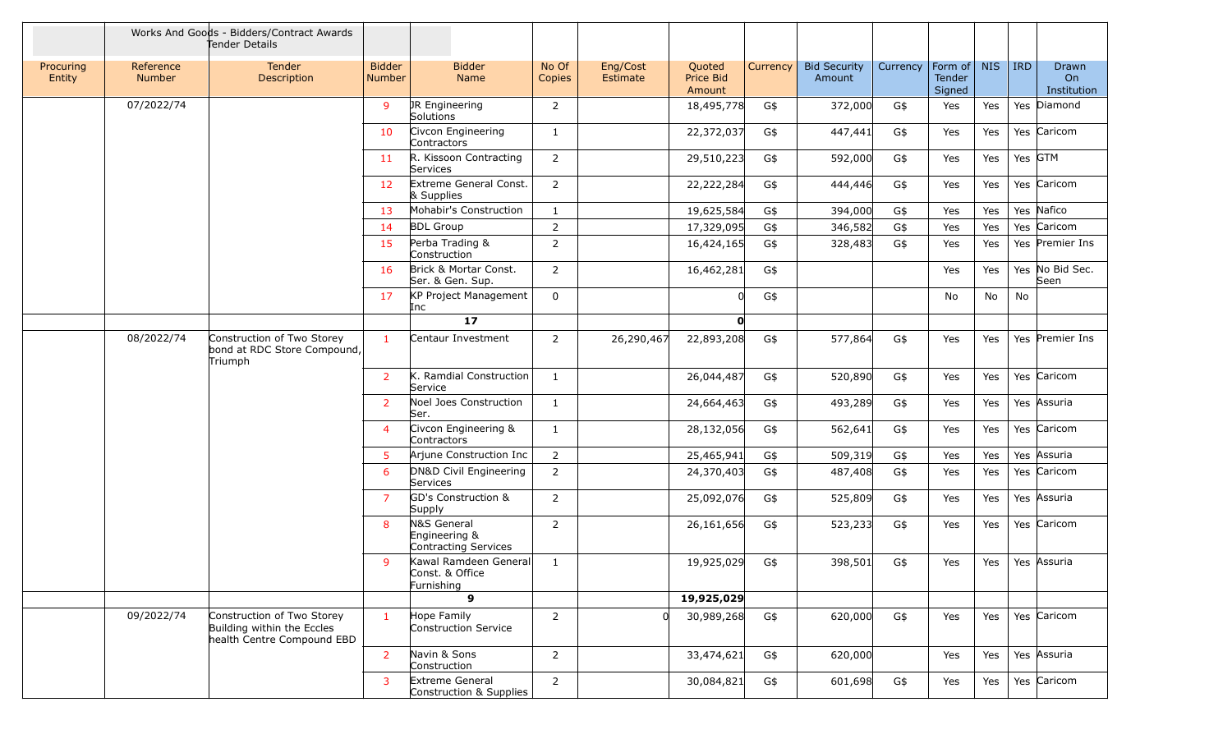|                     |                     | Works And Goods - Bidders/Contract Awards<br>Tender Details                            |                                |                                                          |                 |                      |                               |          |                               |          |                             |            |            |                            |
|---------------------|---------------------|----------------------------------------------------------------------------------------|--------------------------------|----------------------------------------------------------|-----------------|----------------------|-------------------------------|----------|-------------------------------|----------|-----------------------------|------------|------------|----------------------------|
| Procuring<br>Entity | Reference<br>Number | Tender<br>Description                                                                  | <b>Bidder</b><br><b>Number</b> | <b>Bidder</b><br>Name                                    | No Of<br>Copies | Eng/Cost<br>Estimate | Quoted<br>Price Bid<br>Amount | Currency | <b>Bid Security</b><br>Amount | Currency | Form of<br>Tender<br>Signed | <b>NIS</b> | <b>IRD</b> | Drawn<br>On<br>Institution |
|                     | 07/2022/74          |                                                                                        | 9                              | JR Engineering<br>Solutions                              | 2               |                      | 18,495,778                    | G\$      | 372,000                       | G\$      | Yes                         | Yes        |            | Yes Diamond                |
|                     |                     |                                                                                        | 10                             | Civcon Engineering<br>Contractors                        | 1               |                      | 22,372,037                    | G\$      | 447,441                       | G\$      | Yes                         | Yes        |            | Yes Caricom                |
|                     |                     |                                                                                        | 11                             | R. Kissoon Contracting<br>Services                       | $\overline{2}$  |                      | 29,510,223                    | G\$      | 592,000                       | G\$      | Yes                         | Yes        |            | Yes GTM                    |
|                     |                     |                                                                                        | 12                             | Extreme General Const.<br>& Supplies                     | $\overline{2}$  |                      | 22,222,284                    | G\$      | 444,446                       | G\$      | Yes                         | Yes        |            | Yes Caricom                |
|                     |                     |                                                                                        | 13                             | Mohabir's Construction                                   | 1               |                      | 19,625,584                    | G\$      | 394,000                       | G\$      | Yes                         | Yes        |            | Yes Nafico                 |
|                     |                     |                                                                                        | 14                             | <b>BDL Group</b>                                         | $\overline{2}$  |                      | 17,329,095                    | G\$      | 346,582                       | G\$      | Yes                         | Yes        |            | Yes Caricom                |
|                     |                     |                                                                                        | 15                             | Perba Trading &<br>Construction                          | $\overline{2}$  |                      | 16,424,165                    | G\$      | 328,483                       | G\$      | Yes                         | Yes        |            | Yes Premier Ins            |
|                     |                     |                                                                                        | 16                             | Brick & Mortar Const.<br>Ser. & Gen. Sup.                | $\overline{2}$  |                      | 16,462,281                    | G\$      |                               |          | Yes                         | Yes        |            | Yes No Bid Sec.<br>Seen    |
|                     |                     |                                                                                        | 17                             | KP Project Management<br>Inc                             | $\mathbf 0$     |                      |                               | G\$      |                               |          | No                          | No         | No         |                            |
|                     |                     |                                                                                        |                                | 17                                                       |                 |                      | $\mathbf{o}$                  |          |                               |          |                             |            |            |                            |
|                     | 08/2022/74          | Construction of Two Storey<br>bond at RDC Store Compound,<br>Triumph                   | $\mathbf{1}$                   | Centaur Investment                                       | $\overline{2}$  | 26,290,467           | 22,893,208                    | G\$      | 577,864                       | G\$      | Yes                         | Yes        |            | Yes Premier Ins            |
|                     |                     |                                                                                        | $\overline{2}$                 | K. Ramdial Construction<br>Service                       | 1               |                      | 26,044,487                    | G\$      | 520,890                       | G\$      | Yes                         | Yes        |            | Yes Caricom                |
|                     |                     |                                                                                        | $\overline{2}$                 | Noel Joes Construction<br>lSer.                          | $\mathbf{1}$    |                      | 24,664,463                    | G\$      | 493,289                       | G\$      | Yes                         | Yes        |            | Yes Assuria                |
|                     |                     |                                                                                        | $\overline{4}$                 | Civcon Engineering &<br>Contractors                      | 1               |                      | 28,132,056                    | G\$      | 562,641                       | G\$      | Yes                         | Yes        |            | Yes Caricom                |
|                     |                     |                                                                                        | 5                              | Arjune Construction Inc                                  | $\overline{2}$  |                      | 25,465,941                    | G\$      | 509,319                       | G\$      | Yes                         | Yes        |            | Yes Assuria                |
|                     |                     |                                                                                        | 6                              | DN&D Civil Engineering<br>Services                       | $\overline{2}$  |                      | 24,370,403                    | G\$      | 487,408                       | G\$      | Yes                         | Yes        |            | Yes Caricom                |
|                     |                     |                                                                                        | $\overline{7}$                 | GD's Construction &<br>Supply                            | $\overline{2}$  |                      | 25,092,076                    | G\$      | 525,809                       | G\$      | Yes                         | Yes        |            | Yes Assuria                |
|                     |                     |                                                                                        | 8                              | N&S General<br>Engineering &<br>Contracting Services     | $\overline{2}$  |                      | 26,161,656                    | G\$      | 523,233                       | G\$      | Yes                         | Yes        |            | Yes Caricom                |
|                     |                     |                                                                                        | 9                              | Kawal Ramdeen General<br> Const. & Office <br>Furnishing | 1               |                      | 19,925,029                    | G\$      | 398,501                       | G\$      | Yes                         | Yes        |            | Yes Assuria                |
|                     |                     |                                                                                        |                                | $\mathbf{9}$                                             |                 |                      | 19,925,029                    |          |                               |          |                             |            |            |                            |
|                     | 09/2022/74          | Construction of Two Storey<br>Building within the Eccles<br>health Centre Compound EBD | $\mathbf{1}$                   | Hope Family<br>Construction Service                      | $\overline{2}$  |                      | 30,989,268                    | G\$      | 620,000                       | G\$      | Yes                         | Yes        |            | Yes Caricom                |
|                     |                     |                                                                                        | $\overline{2}$                 | Navin & Sons<br>Construction                             | $\overline{2}$  |                      | 33,474,621                    | G\$      | 620,000                       |          | Yes                         | Yes        |            | Yes Assuria                |
|                     |                     |                                                                                        | 3                              | Extreme General<br>Construction & Supplies               | $\overline{2}$  |                      | 30,084,821                    | G\$      | 601,698                       | G\$      | Yes                         | Yes        |            | Yes Caricom                |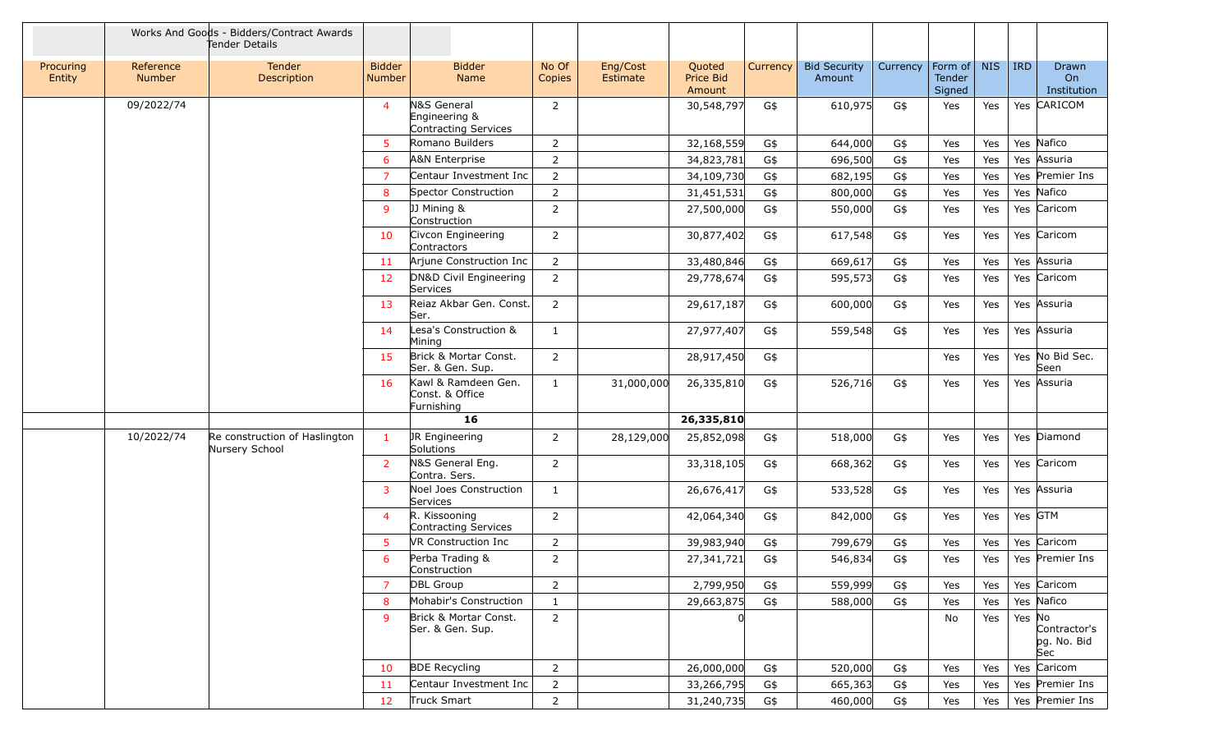|                     |                            | Works And Goods - Bidders/Contract Awards<br>Tender Details |                                |                                                      |                 |                      |                               |          |                               |          |                             |            |            |                                    |
|---------------------|----------------------------|-------------------------------------------------------------|--------------------------------|------------------------------------------------------|-----------------|----------------------|-------------------------------|----------|-------------------------------|----------|-----------------------------|------------|------------|------------------------------------|
| Procuring<br>Entity | Reference<br><b>Number</b> | Tender<br>Description                                       | <b>Bidder</b><br><b>Number</b> | <b>Bidder</b><br><b>Name</b>                         | No Of<br>Copies | Eng/Cost<br>Estimate | Quoted<br>Price Bid<br>Amount | Currency | <b>Bid Security</b><br>Amount | Currency | Form of<br>Tender<br>Signed | <b>NIS</b> | <b>IRD</b> | Drawn<br>On<br>Institution         |
|                     | 09/2022/74                 |                                                             | $\overline{4}$                 | N&S General<br>Engineering &<br>Contracting Services | 2               |                      | 30,548,797                    | G\$      | 610,975                       | G\$      | Yes                         | Yes        |            | Yes CARICOM                        |
|                     |                            |                                                             | 5                              | Romano Builders                                      | $\overline{2}$  |                      | 32,168,559                    | G\$      | 644,000                       | G\$      | Yes                         | Yes        |            | Yes Nafico                         |
|                     |                            |                                                             | 6                              | A&N Enterprise                                       | $\overline{2}$  |                      | 34,823,781                    | G\$      | 696,500                       | G\$      | Yes                         | Yes        |            | Yes Assuria                        |
|                     |                            |                                                             | $\overline{7}$                 | Centaur Investment Inc                               | $\overline{2}$  |                      | 34,109,730                    | G\$      | 682,195                       | G\$      | Yes                         | Yes        |            | Yes Premier Ins                    |
|                     |                            |                                                             | 8                              | Spector Construction                                 | $\overline{2}$  |                      | 31,451,531                    | G\$      | 800,000                       | G\$      | Yes                         | Yes        |            | Yes Nafico                         |
|                     |                            |                                                             | 9                              | JJ Mining &<br>Construction                          | 2               |                      | 27,500,000                    | G\$      | 550,000                       | G\$      | Yes                         | Yes        |            | Yes Caricom                        |
|                     |                            |                                                             | 10                             | Civcon Engineering<br>Contractors                    | 2               |                      | 30,877,402                    | G\$      | 617,548                       | G\$      | Yes                         | Yes        |            | Yes Caricom                        |
|                     |                            |                                                             | 11                             | Ariune Construction Inc                              | $\overline{2}$  |                      | 33,480,846                    | G\$      | 669,617                       | G\$      | Yes                         | Yes        |            | Yes Assuria                        |
|                     |                            |                                                             | 12                             | DN&D Civil Engineering<br>Services                   | $\overline{2}$  |                      | 29,778,674                    | G\$      | 595,573                       | G\$      | Yes                         | Yes        |            | Yes Caricom                        |
|                     |                            |                                                             | 13                             | Reiaz Akbar Gen. Const.<br>Ser.                      | 2               |                      | 29,617,187                    | G\$      | 600,000                       | G\$      | Yes                         | Yes        |            | Yes Assuria                        |
|                     |                            |                                                             | 14                             | Lesa's Construction &<br>Mining                      | 1               |                      | 27,977,407                    | G\$      | 559,548                       | G\$      | Yes                         | Yes        |            | Yes Assuria                        |
|                     |                            |                                                             | 15                             | Brick & Mortar Const.<br>Ser. & Gen. Sup.            | 2               |                      | 28,917,450                    | G\$      |                               |          | Yes                         | Yes        |            | Yes No Bid Sec.<br>Seen            |
|                     |                            |                                                             | 16                             | Kawl & Ramdeen Gen.<br>Const. & Office<br>Furnishing | 1               | 31,000,000           | 26,335,810                    | G\$      | 526,716                       | G\$      | Yes                         | Yes        |            | Yes Assuria                        |
|                     |                            |                                                             |                                | 16                                                   |                 |                      | 26,335,810                    |          |                               |          |                             |            |            |                                    |
|                     | 10/2022/74                 | Re construction of Haslington<br>Nursery School             | $\mathbf{1}$                   | JR Engineering<br>Solutions                          | 2               | 28,129,000           | 25,852,098                    | G\$      | 518,000                       | G\$      | Yes                         | Yes        |            | Yes Diamond                        |
|                     |                            |                                                             | $\overline{2}$                 | N&S General Eng.<br>Contra. Sers.                    | 2               |                      | 33,318,105                    | G\$      | 668,362                       | G\$      | Yes                         | Yes        |            | Yes Caricom                        |
|                     |                            |                                                             | 3                              | Noel Joes Construction<br>Services                   | 1               |                      | 26,676,417                    | G\$      | 533,528                       | G\$      | Yes                         | Yes        |            | Yes Assuria                        |
|                     |                            |                                                             | $\overline{4}$                 | R. Kissooning<br>Contracting Services                | 2               |                      | 42,064,340                    | G\$      | 842,000                       | G\$      | Yes                         | Yes        | Yes GTM    |                                    |
|                     |                            |                                                             | 5                              | VR Construction Inc                                  | 2               |                      | 39,983,940                    | G\$      | 799,679                       | G\$      | Yes                         | Yes        |            | Yes Caricom                        |
|                     |                            |                                                             | 6                              | Perba Trading &<br>Construction                      | 2               |                      | 27,341,721                    | G\$      | 546,834                       | G\$      | Yes                         | Yes        |            | Yes Premier Ins                    |
|                     |                            |                                                             | $\overline{7}$                 | DBL Group                                            | $\overline{2}$  |                      | 2,799,950                     | G\$      | 559,999                       | G\$      | Yes                         | Yes        |            | Yes Caricom                        |
|                     |                            |                                                             | 8                              | Mohabir's Construction                               | $\mathbf{1}$    |                      | 29,663,875                    | G\$      | 588,000                       | G\$      | Yes                         | Yes        |            | Yes Nafico                         |
|                     |                            |                                                             | 9                              | Brick & Mortar Const.<br>Ser. & Gen. Sup.            | $\overline{2}$  |                      |                               |          |                               |          | No                          | Yes        | Yes No     | Contractor's<br>pg. No. Bid<br>Sec |
|                     |                            |                                                             | 10                             | <b>BDE Recycling</b>                                 | $\overline{2}$  |                      | 26,000,000                    | G\$      | 520,000                       | G\$      | Yes                         | Yes        |            | Yes Caricom                        |
|                     |                            |                                                             | 11                             | Centaur Investment Inc                               | $\overline{2}$  |                      | 33,266,795                    | G\$      | 665,363                       | G\$      | Yes                         | Yes        |            | Yes Premier Ins                    |
|                     |                            |                                                             | 12                             | Truck Smart                                          | $\overline{2}$  |                      | 31,240,735                    | G\$      | 460,000                       | $G\$     | Yes                         | Yes        |            | Yes Premier Ins                    |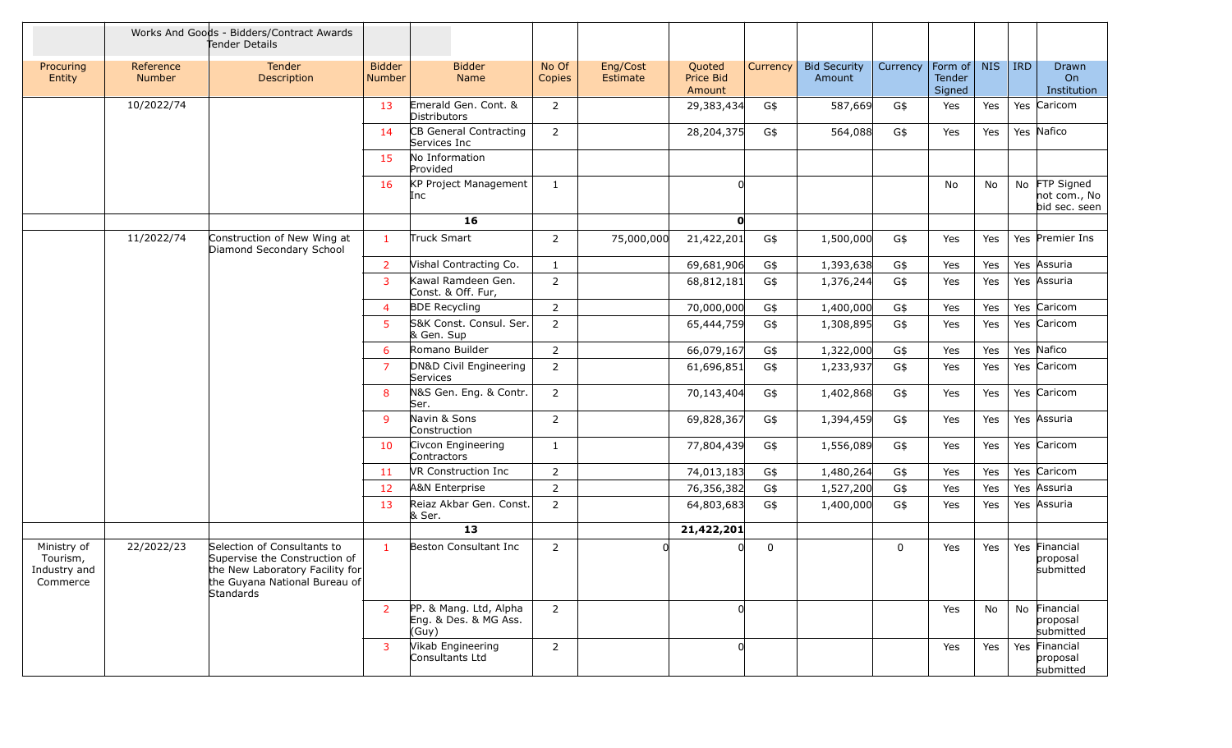|                                                     |                            | Works And Goods - Bidders/Contract Awards<br>Tender Details                                                                                   |                                |                                                          |                 |                      |                               |          |                               |             |                             |            |         |                                                |
|-----------------------------------------------------|----------------------------|-----------------------------------------------------------------------------------------------------------------------------------------------|--------------------------------|----------------------------------------------------------|-----------------|----------------------|-------------------------------|----------|-------------------------------|-------------|-----------------------------|------------|---------|------------------------------------------------|
| Procuring<br>Entity                                 | Reference<br><b>Number</b> | Tender<br>Description                                                                                                                         | <b>Bidder</b><br><b>Number</b> | <b>Bidder</b><br>Name                                    | No Of<br>Copies | Eng/Cost<br>Estimate | Quoted<br>Price Bid<br>Amount | Currency | <b>Bid Security</b><br>Amount | Currency    | Form of<br>Tender<br>Signed | <b>NIS</b> | $ $ IRD | Drawn<br>On<br>Institution                     |
|                                                     | 10/2022/74                 |                                                                                                                                               | 13                             | Emerald Gen. Cont. &<br>Distributors                     | 2               |                      | 29,383,434                    | G\$      | 587,669                       | G\$         | Yes                         | Yes        |         | Yes Caricom                                    |
|                                                     |                            |                                                                                                                                               | 14                             | CB General Contracting<br>Services Inc                   | 2               |                      | 28,204,375                    | G\$      | 564,088                       | G\$         | Yes                         | Yes        |         | Yes Nafico                                     |
|                                                     |                            |                                                                                                                                               | 15                             | No Information<br>Provided                               |                 |                      |                               |          |                               |             |                             |            |         |                                                |
|                                                     |                            |                                                                                                                                               | 16                             | KP Project Management<br>Inc                             | 1               |                      |                               |          |                               |             | No                          | No         |         | No FTP Signed<br>not com., No<br>bid sec. seen |
|                                                     |                            |                                                                                                                                               |                                | 16                                                       |                 |                      | $\mathbf{O}$                  |          |                               |             |                             |            |         |                                                |
|                                                     | 11/2022/74                 | Construction of New Wing at<br>Diamond Secondary School                                                                                       | $\mathbf{1}$                   | Truck Smart                                              | 2               | 75,000,000           | 21,422,201                    | G\$      | 1,500,000                     | G\$         | Yes                         | Yes        |         | Yes Premier Ins                                |
|                                                     |                            |                                                                                                                                               | 2                              | Vishal Contracting Co.                                   | 1               |                      | 69,681,906                    | G\$      | 1,393,638                     | G\$         | Yes                         | Yes        |         | Yes Assuria                                    |
|                                                     |                            |                                                                                                                                               | $\overline{3}$                 | Kawal Ramdeen Gen.<br>Const. & Off. Fur,                 | $\overline{2}$  |                      | 68,812,181                    | G\$      | 1,376,244                     | G\$         | Yes                         | Yes        |         | Yes Assuria                                    |
|                                                     |                            |                                                                                                                                               | $\overline{4}$                 | <b>BDE Recycling</b>                                     | $\overline{2}$  |                      | 70,000,000                    | G\$      | 1,400,000                     | G\$         | Yes                         | Yes        |         | Yes Caricom                                    |
|                                                     |                            |                                                                                                                                               | 5                              | S&K Const. Consul. Ser.<br>& Gen. Sup                    | $\overline{2}$  |                      | 65,444,759                    | G\$      | 1,308,895                     | G\$         | Yes                         | Yes        |         | Yes Caricom                                    |
|                                                     |                            |                                                                                                                                               | 6                              | Romano Builder                                           | 2               |                      | 66,079,167                    | G\$      | 1,322,000                     | G\$         | Yes                         | Yes        |         | Yes Nafico                                     |
|                                                     |                            |                                                                                                                                               | 7                              | DN&D Civil Engineering<br>Services                       | 2               |                      | 61,696,851                    | G\$      | 1,233,937                     | G\$         | Yes                         | Yes        |         | Yes Caricom                                    |
|                                                     |                            |                                                                                                                                               | 8                              | N&S Gen. Eng. & Contr.<br>Ser.                           | 2               |                      | 70,143,404                    | G\$      | 1,402,868                     | G\$         | Yes                         | Yes        |         | Yes Caricom                                    |
|                                                     |                            |                                                                                                                                               | 9                              | Navin & Sons<br>Construction                             | 2               |                      | 69,828,367                    | G\$      | 1,394,459                     | G\$         | Yes                         | Yes        |         | Yes Assuria                                    |
|                                                     |                            |                                                                                                                                               | 10                             | Civcon Engineering<br>Contractors                        | 1               |                      | 77,804,439                    | G\$      | 1,556,089                     | G\$         | Yes                         | Yes        |         | Yes Caricom                                    |
|                                                     |                            |                                                                                                                                               | 11                             | VR Construction Inc                                      | 2               |                      | 74,013,183                    | G\$      | 1,480,264                     | G\$         | Yes                         | Yes        |         | Yes Caricom                                    |
|                                                     |                            |                                                                                                                                               | 12                             | <b>A&amp;N Enterprise</b>                                | 2               |                      | 76,356,382                    | G\$      | 1,527,200                     | G\$         | Yes                         | Yes        |         | Yes Assuria                                    |
|                                                     |                            |                                                                                                                                               | 13                             | Reiaz Akbar Gen. Const.<br>& Ser.                        | 2               |                      | 64,803,683                    | G\$      | 1,400,000                     | G\$         | Yes                         | Yes        |         | Yes Assuria                                    |
|                                                     |                            |                                                                                                                                               |                                | 13                                                       |                 |                      | 21,422,201                    |          |                               |             |                             |            |         |                                                |
| Ministry of<br>Tourism,<br>Industry and<br>Commerce | 22/2022/23                 | Selection of Consultants to<br>Supervise the Construction of<br>the New Laboratory Facility for<br>the Guyana National Bureau of<br>Standards | $\mathbf{1}$                   | Beston Consultant Inc                                    | 2               | U                    |                               | 0        |                               | $\mathbf 0$ | Yes                         | Yes        |         | Yes Financial<br>proposal<br>submitted         |
|                                                     |                            |                                                                                                                                               | $\overline{2}$                 | PP. & Mang. Ltd, Alpha<br>Eng. & Des. & MG Ass.<br>(Guy) | $\overline{2}$  |                      | 0l                            |          |                               |             | Yes                         | No.        |         | No Financial<br>proposal<br>submitted          |
|                                                     |                            |                                                                                                                                               | 3                              | Vikab Engineering<br>Consultants Ltd                     | $\overline{2}$  |                      | 0l                            |          |                               |             | Yes                         | Yes        |         | Yes Financial<br>proposal<br>submitted         |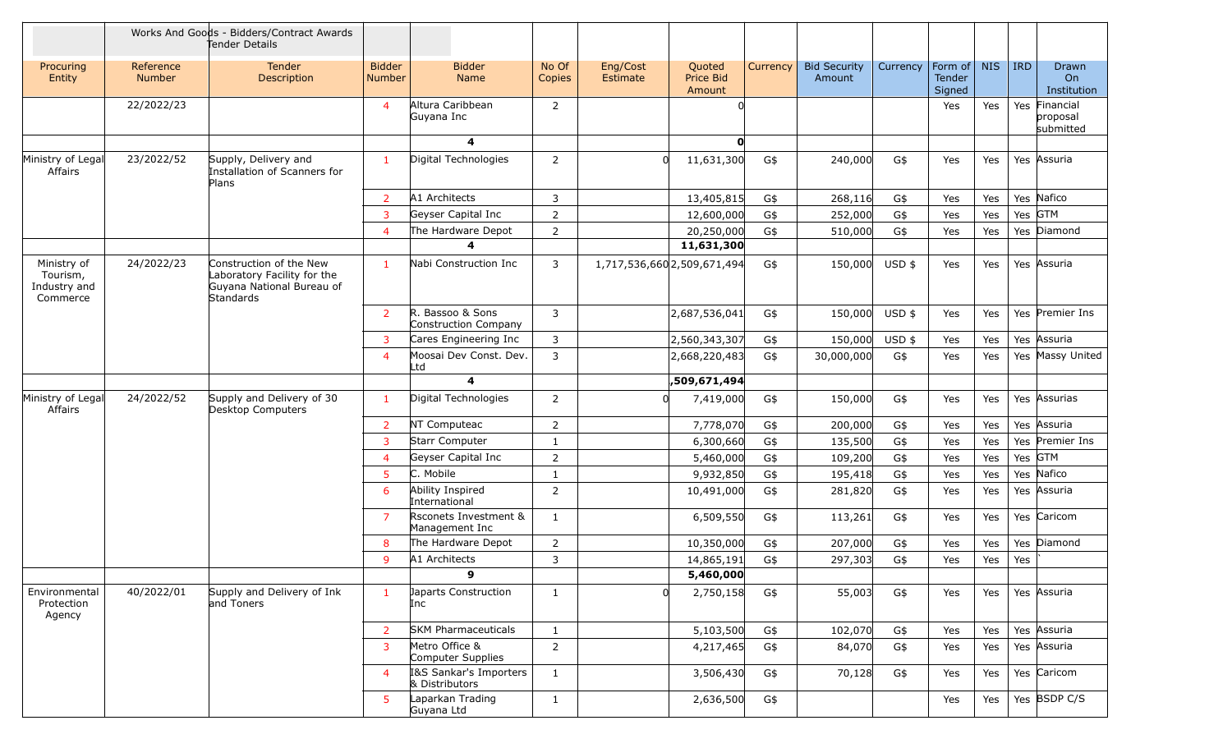|                                                     |                            | Works And Goods - Bidders/Contract Awards<br>Tender Details                                      |                                |                                          |                 |                      |                                      |          |                               |          |                             |            |            |                                        |
|-----------------------------------------------------|----------------------------|--------------------------------------------------------------------------------------------------|--------------------------------|------------------------------------------|-----------------|----------------------|--------------------------------------|----------|-------------------------------|----------|-----------------------------|------------|------------|----------------------------------------|
| Procuring<br>Entity                                 | Reference<br><b>Number</b> | <b>Tender</b><br>Description                                                                     | <b>Bidder</b><br><b>Number</b> | <b>Bidder</b><br><b>Name</b>             | No Of<br>Copies | Eng/Cost<br>Estimate | Quoted<br><b>Price Bid</b><br>Amount | Currency | <b>Bid Security</b><br>Amount | Currency | Form of<br>Tender<br>Signed | <b>NIS</b> | <b>IRD</b> | Drawn<br>On<br>Institution             |
|                                                     | 22/2022/23                 |                                                                                                  | 4                              | Altura Caribbean<br>Guyana Inc           | $\overline{2}$  |                      |                                      |          |                               |          | Yes                         | Yes        |            | Yes Financial<br>proposal<br>submitted |
|                                                     |                            |                                                                                                  |                                | 4                                        |                 |                      | $\mathbf{O}$                         |          |                               |          |                             |            |            |                                        |
| Ministry of Legal<br>Affairs                        | 23/2022/52                 | Supply, Delivery and<br>Installation of Scanners for<br>Plans                                    | $\mathbf{1}$                   | Digital Technologies                     | $\overline{2}$  | <sup>n</sup>         | 11,631,300                           | G\$      | 240,000                       | G\$      | Yes                         | Yes        |            | Yes Assuria                            |
|                                                     |                            |                                                                                                  | $\overline{2}$                 | A1 Architects                            | 3               |                      | 13,405,815                           | G\$      | 268,116                       | G\$      | Yes                         | Yes        |            | Yes Nafico                             |
|                                                     |                            |                                                                                                  | 3                              | Geyser Capital Inc                       | $\overline{2}$  |                      | 12,600,000                           | G\$      | 252,000                       | G\$      | Yes                         | Yes        |            | Yes GTM                                |
|                                                     |                            |                                                                                                  | 4                              | The Hardware Depot                       | $\overline{2}$  |                      | 20,250,000                           | G\$      | 510,000                       | G\$      | Yes                         | Yes        |            | Yes Diamond                            |
|                                                     |                            |                                                                                                  |                                | 4                                        |                 |                      | 11,631,300                           |          |                               |          |                             |            |            |                                        |
| Ministry of<br>Tourism,<br>Industry and<br>Commerce | 24/2022/23                 | Construction of the New<br>Laboratory Facility for the<br>Guyana National Bureau of<br>Standards | $\mathbf{1}$                   | Nabi Construction Inc                    | 3               |                      | 1,717,536,660 2,509,671,494          | G\$      | 150,000                       | $USD$ \$ | Yes                         | Yes        |            | Yes Assuria                            |
|                                                     |                            |                                                                                                  | $\overline{2}$                 | R. Bassoo & Sons<br>Construction Company | $\overline{3}$  |                      | 2,687,536,041                        | G\$      | 150,000                       | USD \$   | Yes                         | Yes        |            | Yes Premier Ins                        |
|                                                     |                            |                                                                                                  | 3                              | Cares Engineering Inc                    | 3               |                      | 2,560,343,307                        | G\$      | 150,000                       | $USD$ \$ | Yes                         | Yes        |            | Yes Assuria                            |
|                                                     |                            |                                                                                                  | 4                              | Moosai Dev Const. Dev.<br>Ltd            | $\overline{3}$  |                      | 2,668,220,483                        | G\$      | 30,000,000                    | G\$      | Yes                         | Yes        |            | Yes Massy United                       |
|                                                     |                            |                                                                                                  |                                | 4                                        |                 |                      | ,509,671,494                         |          |                               |          |                             |            |            |                                        |
| Ministry of Legal<br>Affairs                        | 24/2022/52                 | Supply and Delivery of 30<br>Desktop Computers                                                   | $\mathbf{1}$                   | Digital Technologies                     | $\overline{2}$  | <sup>0</sup>         | 7,419,000                            | G\$      | 150,000                       | G\$      | Yes                         | Yes        |            | Yes Assurias                           |
|                                                     |                            |                                                                                                  | $\overline{2}$                 | NT Computeac                             | $\overline{2}$  |                      | 7,778,070                            | G\$      | 200,000                       | G\$      | Yes                         | Yes        |            | Yes Assuria                            |
|                                                     |                            |                                                                                                  | 3                              | Starr Computer                           | 1               |                      | 6,300,660                            | G\$      | 135,500                       | G\$      | Yes                         | Yes        |            | Yes Premier Ins                        |
|                                                     |                            |                                                                                                  | 4                              | Geyser Capital Inc                       | $\overline{2}$  |                      | 5,460,000                            | G\$      | 109,200                       | G\$      | Yes                         | Yes        |            | Yes GTM                                |
|                                                     |                            |                                                                                                  | 5                              | C. Mobile                                | 1               |                      | 9,932,850                            | G\$      | 195,418                       | G\$      | Yes                         | Yes        |            | Yes Nafico                             |
|                                                     |                            |                                                                                                  | 6                              | Ability Inspired<br>International        | 2               |                      | 10,491,000                           | G\$      | 281,820                       | G\$      | Yes                         | Yes        |            | Yes Assuria                            |
|                                                     |                            |                                                                                                  | $\overline{7}$                 | Rsconets Investment &<br>Management Inc  | $\mathbf{1}$    |                      | 6,509,550                            | G\$      | 113,261                       | G\$      | Yes                         | Yes        |            | Yes Caricom                            |
|                                                     |                            |                                                                                                  | 8                              | The Hardware Depot                       | $\overline{2}$  |                      | 10,350,000                           | G\$      | 207,000                       | G\$      | Yes                         | Yes        |            | Yes Diamond                            |
|                                                     |                            |                                                                                                  | 9                              | A1 Architects                            | 3               |                      | 14,865,191                           | G\$      | 297,303                       | G\$      | Yes                         | Yes        | Yes        |                                        |
|                                                     |                            |                                                                                                  |                                | 9                                        |                 |                      | 5,460,000                            |          |                               |          |                             |            |            |                                        |
| Environmental<br>Protection<br>Agency               | 40/2022/01                 | Supply and Delivery of Ink<br>and Toners                                                         | $\mathbf{1}$                   | Japarts Construction<br>Inc              | $\mathbf{1}$    | 0                    | 2,750,158                            | G\$      | 55,003                        | G\$      | Yes                         | Yes        |            | Yes Assuria                            |
|                                                     |                            |                                                                                                  | $\overline{2}$                 | <b>SKM Pharmaceuticals</b>               | $\mathbf{1}$    |                      | 5,103,500                            | G\$      | 102,070                       | G\$      | Yes                         | Yes        |            | Yes Assuria                            |
|                                                     |                            |                                                                                                  | 3                              | Metro Office &<br>Computer Supplies      | $\overline{2}$  |                      | 4,217,465                            | G\$      | 84,070                        | G\$      | Yes                         | Yes        |            | Yes Assuria                            |
|                                                     |                            |                                                                                                  | 4                              | I&S Sankar's Importers<br>& Distributors | $\mathbf{1}$    |                      | 3,506,430                            | G\$      | 70,128                        | G\$      | Yes                         | Yes        |            | Yes Caricom                            |
|                                                     |                            |                                                                                                  | 5.                             | Laparkan Trading<br>Guyana Ltd           | $\mathbf{1}$    |                      | 2,636,500                            | G\$      |                               |          | Yes                         | Yes        |            | Yes BSDP C/S                           |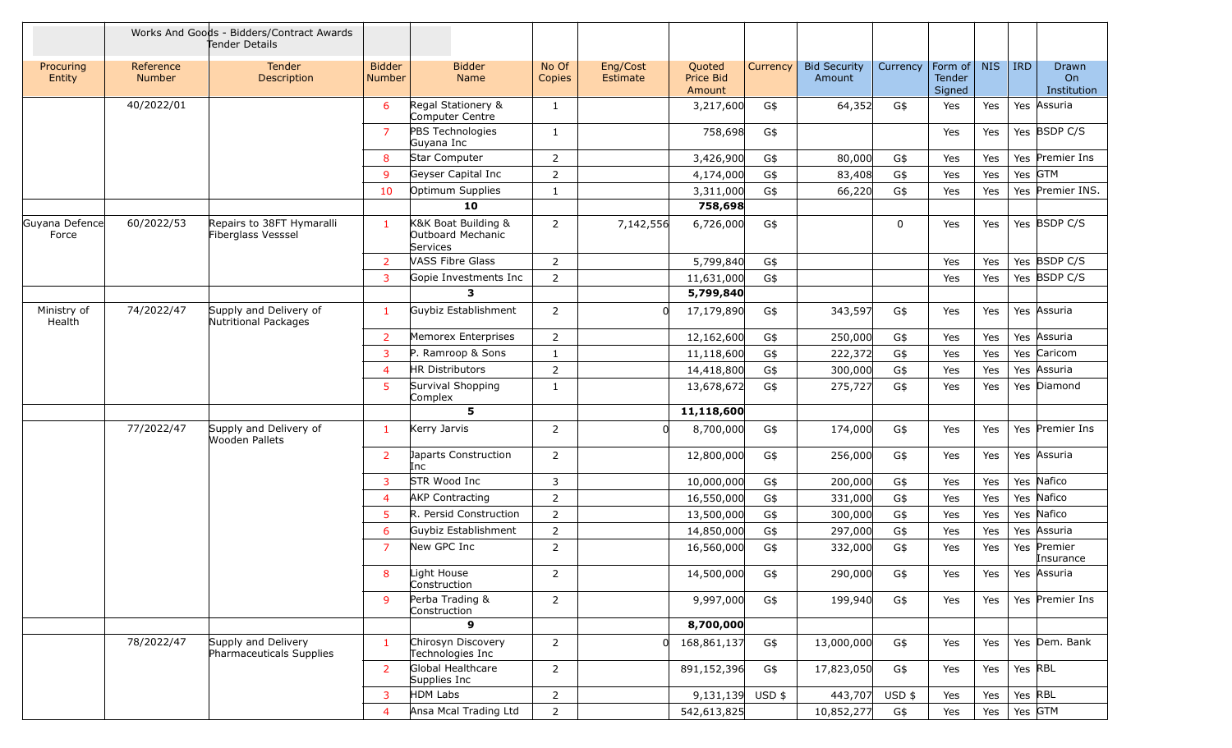|                         |                            | Works And Goods - Bidders/Contract Awards<br>Tender Details |                                |                                                      |                 |                      |                               |          |                               |          |                             |            |            |                            |
|-------------------------|----------------------------|-------------------------------------------------------------|--------------------------------|------------------------------------------------------|-----------------|----------------------|-------------------------------|----------|-------------------------------|----------|-----------------------------|------------|------------|----------------------------|
| Procuring<br>Entity     | Reference<br><b>Number</b> | Tender<br>Description                                       | <b>Bidder</b><br><b>Number</b> | <b>Bidder</b><br>Name                                | No Of<br>Copies | Eng/Cost<br>Estimate | Quoted<br>Price Bid<br>Amount | Currency | <b>Bid Security</b><br>Amount | Currency | Form of<br>Tender<br>Signed | <b>NIS</b> | <b>IRD</b> | Drawn<br>On<br>Institution |
|                         | 40/2022/01                 |                                                             | 6                              | Regal Stationery &<br>Computer Centre                | 1               |                      | 3,217,600                     | G\$      | 64,352                        | G\$      | Yes                         | Yes        |            | Yes Assuria                |
|                         |                            |                                                             | $\overline{7}$                 | PBS Technologies<br>Guyana Inc                       | 1               |                      | 758,698                       | G\$      |                               |          | Yes                         | Yes        |            | Yes BSDP C/S               |
|                         |                            |                                                             | 8                              | Star Computer                                        | 2               |                      | 3,426,900                     | G\$      | 80,000                        | G\$      | Yes                         | Yes        |            | Yes Premier Ins            |
|                         |                            |                                                             | 9                              | Geyser Capital Inc                                   | 2               |                      | 4,174,000                     | G\$      | 83,408                        | G\$      | Yes                         | Yes        | Yes GTM    |                            |
|                         |                            |                                                             | 10                             | Optimum Supplies                                     | 1               |                      | 3,311,000                     | G\$      | 66,220                        | G\$      | Yes                         | Yes        |            | Yes Premier INS.           |
|                         |                            |                                                             |                                | 10                                                   |                 |                      | 758,698                       |          |                               |          |                             |            |            |                            |
| Guyana Defence<br>Force | 60/2022/53                 | Repairs to 38FT Hymaralli<br>Fiberglass Vesssel             | $\mathbf{1}$                   | K&K Boat Building &<br>Outboard Mechanic<br>Services | 2               | 7,142,556            | 6,726,000                     | G\$      |                               | 0        | Yes                         | Yes        |            | Yes BSDP C/S               |
|                         |                            |                                                             | $\overline{2}$                 | <b>VASS Fibre Glass</b>                              | $\overline{2}$  |                      | 5,799,840                     | G\$      |                               |          | Yes                         | Yes        |            | Yes BSDP C/S               |
|                         |                            |                                                             | 3                              | Gopie Investments Inc                                | $\overline{2}$  |                      | 11,631,000                    | G\$      |                               |          | Yes                         | Yes        |            | Yes BSDP C/S               |
|                         |                            |                                                             |                                | 3                                                    |                 |                      | 5,799,840                     |          |                               |          |                             |            |            |                            |
| Ministry of<br>Health   | 74/2022/47                 | Supply and Delivery of<br>Nutritional Packages              | $\mathbf{1}$                   | Guybiz Establishment                                 | $\overline{2}$  | <sub>0</sub>         | 17,179,890                    | G\$      | 343,597                       | G\$      | Yes                         | Yes        |            | Yes Assuria                |
|                         |                            |                                                             | $\overline{2}$                 | Memorex Enterprises                                  | 2               |                      | 12,162,600                    | G\$      | 250,000                       | G\$      | Yes                         | Yes        |            | Yes Assuria                |
|                         |                            |                                                             | 3                              | P. Ramroop & Sons                                    | 1               |                      | 11,118,600                    | G\$      | 222,372                       | G\$      | Yes                         | Yes        |            | Yes Caricom                |
|                         |                            |                                                             | 4                              | <b>HR Distributors</b>                               | $\overline{2}$  |                      | 14,418,800                    | G\$      | 300,000                       | G\$      | Yes                         | Yes        |            | Yes Assuria                |
|                         |                            |                                                             | 5                              | Survival Shopping<br>Complex                         | 1               |                      | 13,678,672                    | G\$      | 275,727                       | G\$      | Yes                         | Yes        |            | Yes Diamond                |
|                         |                            |                                                             |                                | 5                                                    |                 |                      | 11,118,600                    |          |                               |          |                             |            |            |                            |
|                         | 77/2022/47                 | Supply and Delivery of<br><b>Wooden Pallets</b>             | $\mathbf{1}$                   | Kerry Jarvis                                         | 2               | 0l                   | 8,700,000                     | G\$      | 174,000                       | G\$      | Yes                         | Yes        |            | Yes Premier Ins            |
|                         |                            |                                                             | $\overline{2}$                 | Japarts Construction<br>Inc                          | $\overline{2}$  |                      | 12,800,000                    | G\$      | 256,000                       | G\$      | Yes                         | Yes        |            | Yes Assuria                |
|                         |                            |                                                             | $\overline{3}$                 | STR Wood Inc                                         | 3               |                      | 10,000,000                    | G\$      | 200,000                       | G\$      | Yes                         | Yes        |            | Yes Nafico                 |
|                         |                            |                                                             | 4                              | <b>AKP Contracting</b>                               | $\overline{2}$  |                      | 16,550,000                    | G\$      | 331,000                       | G\$      | Yes                         | Yes        |            | Yes Nafico                 |
|                         |                            |                                                             | 5                              | R. Persid Construction                               | $\overline{2}$  |                      | 13,500,000                    | G\$      | 300,000                       | G\$      | Yes                         | Yes        |            | Yes Nafico                 |
|                         |                            |                                                             | 6                              | Guybiz Establishment                                 | $\overline{2}$  |                      | 14,850,000                    | G\$      | 297,000                       | G\$      | Yes                         | Yes        |            | Yes Assuria                |
|                         |                            |                                                             | $\overline{7}$                 | New GPC Inc                                          | $\overline{2}$  |                      | 16,560,000                    | G\$      | 332,000                       | G\$      | Yes                         | Yes        |            | Yes Premier<br>Insurance   |
|                         |                            |                                                             | 8                              | Light House<br>Construction                          | 2               |                      | 14,500,000                    | G\$      | 290,000                       | G\$      | Yes                         | Yes        |            | Yes Assuria                |
|                         |                            |                                                             | 9                              | Perba Trading &<br>Construction                      | $\overline{2}$  |                      | 9,997,000                     | G\$      | 199,940                       | G\$      | Yes                         | Yes        |            | Yes Premier Ins            |
|                         |                            |                                                             |                                | 9                                                    |                 |                      | 8,700,000                     |          |                               |          |                             |            |            |                            |
|                         | 78/2022/47                 | Supply and Delivery<br>Pharmaceuticals Supplies             | $\mathbf{1}$                   | Chirosyn Discovery<br>Technologies Inc               | $\overline{2}$  | 0l                   | 168,861,137                   | G\$      | 13,000,000                    | G\$      | Yes                         | Yes        |            | Yes Dem. Bank              |
|                         |                            |                                                             | $\overline{2}$                 | Global Healthcare<br>Supplies Inc                    | $\overline{2}$  |                      | 891,152,396                   | G\$      | 17,823,050                    | G\$      | Yes                         | Yes        | Yes RBL    |                            |
|                         |                            |                                                             | 3                              | <b>HDM Labs</b>                                      | $\overline{2}$  |                      | $9,131,139$ USD \$            |          | 443,707                       | USD \$   | Yes                         | Yes        | Yes RBL    |                            |
|                         |                            |                                                             | 4                              | Ansa Mcal Trading Ltd                                | $\overline{2}$  |                      | 542,613,825                   |          | 10,852,277                    | G\$      | Yes                         | Yes        |            | Yes $GTM$                  |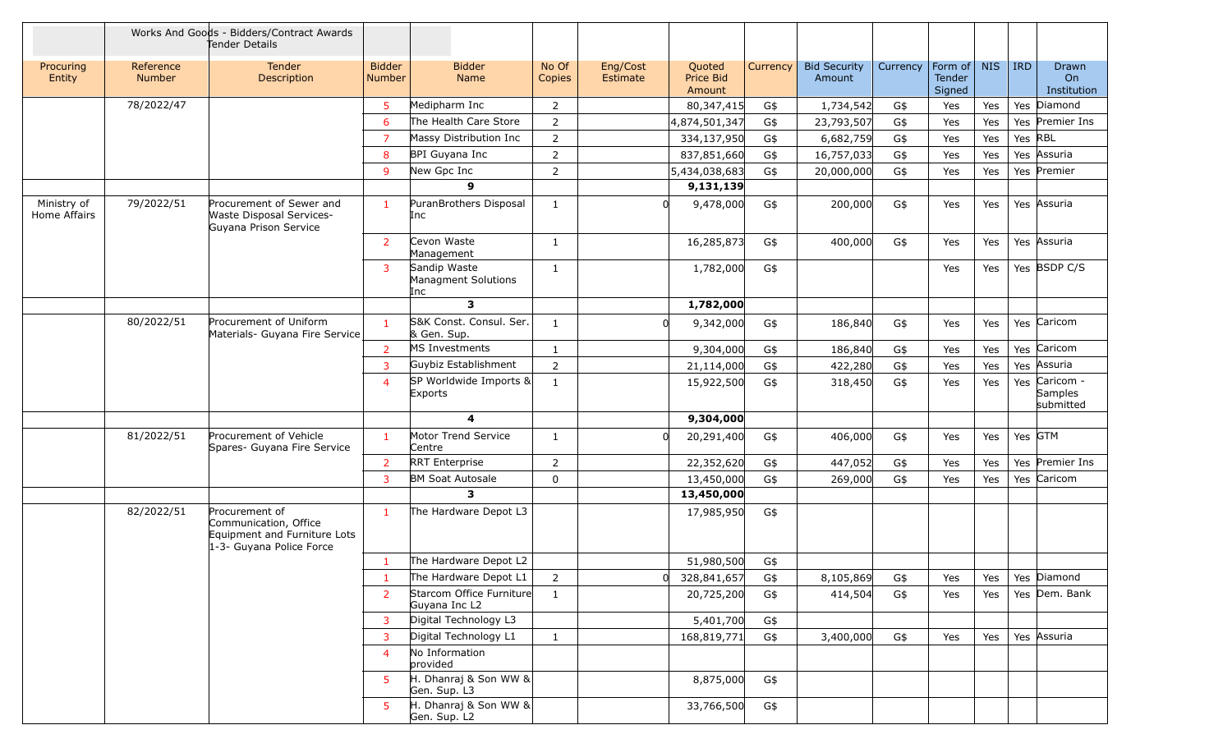|                             |                            | Works And Goods - Bidders/Contract Awards<br>Tender Details                                         |                                |                                            |                 |                      |                               |          |                               |          |                                    |            |            |                                              |
|-----------------------------|----------------------------|-----------------------------------------------------------------------------------------------------|--------------------------------|--------------------------------------------|-----------------|----------------------|-------------------------------|----------|-------------------------------|----------|------------------------------------|------------|------------|----------------------------------------------|
| Procuring<br>Entity         | Reference<br><b>Number</b> | Tender<br>Description                                                                               | <b>Bidder</b><br><b>Number</b> | <b>Bidder</b><br>Name                      | No Of<br>Copies | Eng/Cost<br>Estimate | Quoted<br>Price Bid<br>Amount | Currency | <b>Bid Security</b><br>Amount | Currency | Form of<br><b>Tender</b><br>Signed | <b>NIS</b> | <b>IRD</b> | Drawn<br>On<br>Institution                   |
|                             | 78/2022/47                 |                                                                                                     | 5                              | Medipharm Inc                              | 2               |                      | 80,347,415                    | G\$      | 1,734,542                     | G\$      | Yes                                | Yes        |            | Yes Diamond                                  |
|                             |                            |                                                                                                     | 6                              | The Health Care Store                      | $\overline{2}$  |                      | 4,874,501,347                 | G\$      | 23,793,507                    | G\$      | Yes                                | Yes        |            | Yes Premier Ins                              |
|                             |                            |                                                                                                     | $\overline{7}$                 | Massy Distribution Inc                     | $\overline{2}$  |                      | 334,137,950                   | G\$      | 6,682,759                     | G\$      | Yes                                | Yes        | Yes RBL    |                                              |
|                             |                            |                                                                                                     | 8                              | BPI Guyana Inc                             | $\overline{2}$  |                      | 837,851,660                   | G\$      | 16,757,033                    | G\$      | Yes                                | Yes        |            | Yes Assuria                                  |
|                             |                            |                                                                                                     | 9                              | New Gpc Inc                                | 2               |                      | 5,434,038,683                 | G\$      | 20,000,000                    | G\$      | Yes                                | Yes        |            | Yes Premier                                  |
|                             |                            |                                                                                                     |                                | $\mathbf{9}$                               |                 |                      | 9,131,139                     |          |                               |          |                                    |            |            |                                              |
| Ministry of<br>Home Affairs | 79/2022/51                 | Procurement of Sewer and<br>Waste Disposal Services-<br>Guyana Prison Service                       | -1                             | PuranBrothers Disposal<br>Inc              | 1               | $\Omega$             | 9,478,000                     | G\$      | 200,000                       | G\$      | Yes                                | Yes        |            | Yes Assuria                                  |
|                             |                            |                                                                                                     | $\overline{2}$                 | Cevon Waste<br>Management                  | 1               |                      | 16,285,873                    | G\$      | 400,000                       | G\$      | Yes                                | Yes        |            | Yes Assuria                                  |
|                             |                            |                                                                                                     | 3                              | Sandip Waste<br>Managment Solutions<br>Inc | $\mathbf{1}$    |                      | 1,782,000                     | G\$      |                               |          | Yes                                | Yes        |            | Yes BSDP C/S                                 |
|                             |                            |                                                                                                     |                                | $\mathbf{3}$                               |                 |                      | 1,782,000                     |          |                               |          |                                    |            |            |                                              |
|                             | 80/2022/51                 | Procurement of Uniform<br>Materials- Guyana Fire Service                                            | $\mathbf{1}$                   | S&K Const. Consul. Ser.<br>& Gen. Sup.     | 1               | 0l                   | 9,342,000                     | G\$      | 186,840                       | G\$      | Yes                                | Yes        |            | Yes Caricom                                  |
|                             |                            |                                                                                                     | $\overline{2}$                 | MS Investments                             | $\mathbf{1}$    |                      | 9,304,000                     | G\$      | 186,840                       | G\$      | Yes                                | Yes        |            | Yes Caricom                                  |
|                             |                            |                                                                                                     | 3                              | Guybiz Establishment                       | $\overline{2}$  |                      | 21,114,000                    | G\$      | 422,280                       | G\$      | Yes                                | Yes        |            | Yes Assuria                                  |
|                             |                            |                                                                                                     | $\overline{4}$                 | SP Worldwide Imports &<br>Exports          | 1               |                      | 15,922,500                    | G\$      | 318,450                       | G\$      | Yes                                | Yes        |            | Yes Caricom -<br><b>Samples</b><br>submitted |
|                             |                            |                                                                                                     |                                | 4                                          |                 |                      | 9,304,000                     |          |                               |          |                                    |            |            |                                              |
|                             | 81/2022/51                 | Procurement of Vehicle<br>Spares- Guyana Fire Service                                               | $\mathbf{1}$                   | Motor Trend Service<br>Centre              | 1               | 0l                   | 20,291,400                    | G\$      | 406,000                       | G\$      | Yes                                | Yes        |            | Yes GTM                                      |
|                             |                            |                                                                                                     | $\overline{2}$                 | <b>RRT</b> Enterprise                      | $\overline{2}$  |                      | 22,352,620                    | G\$      | 447,052                       | G\$      | Yes                                | Yes        |            | Yes Premier Ins                              |
|                             |                            |                                                                                                     | 3                              | <b>BM Soat Autosale</b>                    | $\mathbf 0$     |                      | 13,450,000                    | G\$      | 269,000                       | G\$      | Yes                                | Yes        |            | Yes Caricom                                  |
|                             |                            |                                                                                                     |                                | $\overline{\mathbf{3}}$                    |                 |                      | 13,450,000                    |          |                               |          |                                    |            |            |                                              |
|                             | 82/2022/51                 | Procurement of<br>Communication, Office<br>Equipment and Furniture Lots<br>1-3- Guyana Police Force | $\mathbf{1}$                   | The Hardware Depot L3                      |                 |                      | 17,985,950                    | G\$      |                               |          |                                    |            |            |                                              |
|                             |                            |                                                                                                     | $\mathbf{1}$                   | The Hardware Depot L2                      |                 |                      | 51,980,500                    | G\$      |                               |          |                                    |            |            |                                              |
|                             |                            |                                                                                                     |                                | The Hardware Depot L1                      | $\overline{2}$  | 0                    | 328,841,657                   | G\$      | 8,105,869                     | G\$      | Yes                                | Yes        |            | Yes Diamond                                  |
|                             |                            |                                                                                                     | $\overline{2}$                 | Starcom Office Furniture<br>Guyana Inc L2  | $\mathbf{1}$    |                      | 20,725,200                    | G\$      | 414,504                       | G\$      | Yes                                | Yes        |            | Yes Dem. Bank                                |
|                             |                            |                                                                                                     | 3                              | Digital Technology L3                      |                 |                      | 5,401,700                     | G\$      |                               |          |                                    |            |            |                                              |
|                             |                            |                                                                                                     | 3                              | Digital Technology L1                      | $\mathbf{1}$    |                      | 168,819,771                   | G\$      | 3,400,000                     | G\$      | Yes                                | Yes        |            | Yes Assuria                                  |
|                             |                            |                                                                                                     | $\overline{4}$                 | No Information<br>provided                 |                 |                      |                               |          |                               |          |                                    |            |            |                                              |
|                             |                            |                                                                                                     | 5                              | H. Dhanraj & Son WW &<br>Gen. Sup. L3      |                 |                      | 8,875,000                     | G\$      |                               |          |                                    |            |            |                                              |
|                             |                            |                                                                                                     | 5.                             | H. Dhanraj & Son WW &<br>Gen. Sup. L2      |                 |                      | 33,766,500                    | G\$      |                               |          |                                    |            |            |                                              |